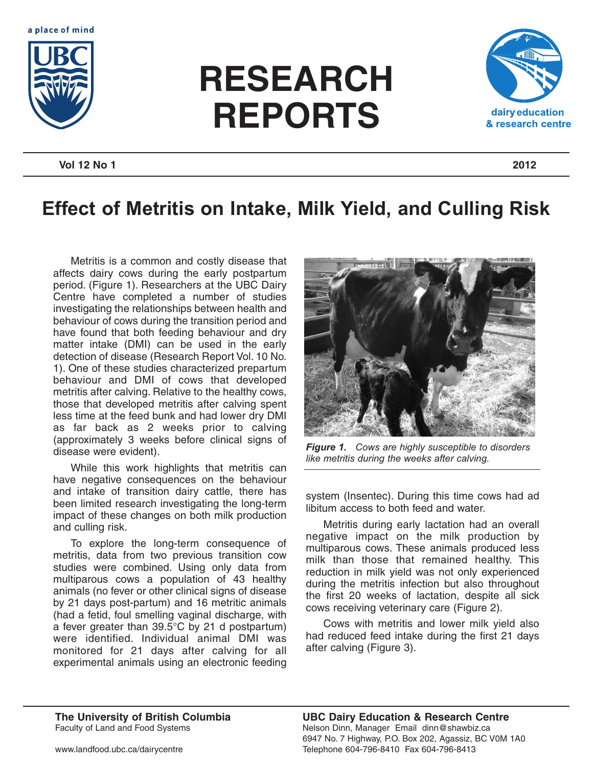



## **RESEARCH REPORTS**



## **Vol 12 No 1 2012**

## **Effect of Metritis on Intake, Milk Yield, and Culling Risk**

Metritis is a common and costly disease that affects dairy cows during the early postpartum period. (Figure 1). Researchers at the UBC Dairy Centre have completed a number of studies investigating the relationships between health and behaviour of cows during the transition period and have found that both feeding behaviour and dry matter intake (DMI) can be used in the early detection of disease (Research Report Vol. 10 No. 1). One of these studies characterized prepartum behaviour and DMI of cows that developed metritis after calving. Relative to the healthy cows, those that developed metritis after calving spent less time at the feed bunk and had lower dry DMI as far back as 2 weeks prior to calving (approximately 3 weeks before clinical signs of disease were evident).

While this work highlights that metritis can have negative consequences on the behaviour and intake of transition dairy cattle, there has been limited research investigating the long-term impact of these changes on both milk production and culling risk.

To explore the long-term consequence of metritis, data from two previous transition cow studies were combined. Using only data from multiparous cows a population of 43 healthy animals (no fever or other clinical signs of disease by 21 days post-partum) and 16 metritic animals (had a fetid, foul smelling vaginal discharge, with a fever greater than 39.5°C by 21 d postpartum) were identified. Individual animal DMI was monitored for 21 days after calving for all experimental animals using an electronic feeding



*Figure 1. Cows are highly susceptible to disorders like metritis during the weeks after calving.*

system (Insentec). During this time cows had ad libitum access to both feed and water.

Metritis during early lactation had an overall negative impact on the milk production by multiparous cows. These animals produced less milk than those that remained healthy. This reduction in milk yield was not only experienced during the metritis infection but also throughout the first 20 weeks of lactation, despite all sick cows receiving veterinary care (Figure 2).

Cows with metritis and lower milk yield also had reduced feed intake during the first 21 days after calving (Figure 3).